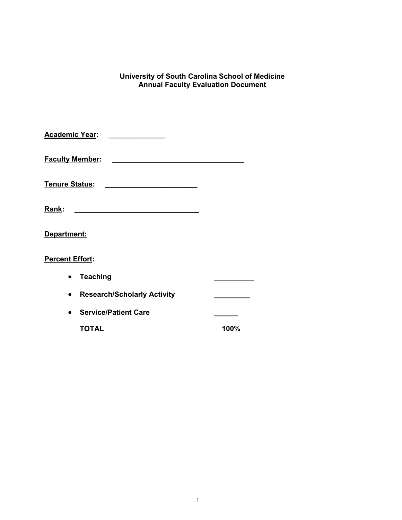### **University of South Carolina School of Medicine Annual Faculty Evaluation Document**

| Academic Year:         |                                                   |      |
|------------------------|---------------------------------------------------|------|
| <b>Faculty Member:</b> | <u> 1980 - Johann Barbara, martxa alemaniar a</u> |      |
| <u> Tenure Status:</u> |                                                   |      |
| Rank:                  |                                                   |      |
| Department:            |                                                   |      |
| <b>Percent Effort:</b> |                                                   |      |
|                        | <b>Teaching</b>                                   |      |
|                        | <b>Research/Scholarly Activity</b>                |      |
|                        | <b>Service/Patient Care</b>                       |      |
|                        | <b>TOTAL</b>                                      | 100% |
|                        |                                                   |      |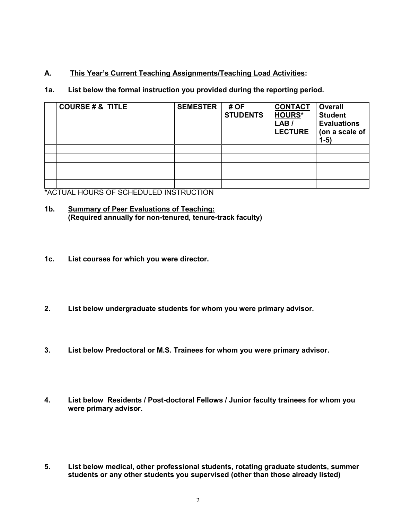## **A. This Year's Current Teaching Assignments/Teaching Load Activities:**

## **1a. List below the formal instruction you provided during the reporting period.**

| <b>COURSE # &amp; TITLE</b> | <b>SEMESTER</b> | # OF<br><b>STUDENTS</b> | <b>CONTACT</b><br><b>HOURS*</b><br>LAB /<br><b>LECTURE</b> | <b>Overall</b><br><b>Student</b><br><b>Evaluations</b><br>(on a scale of<br>$1-5)$ |
|-----------------------------|-----------------|-------------------------|------------------------------------------------------------|------------------------------------------------------------------------------------|
|                             |                 |                         |                                                            |                                                                                    |
|                             |                 |                         |                                                            |                                                                                    |
|                             |                 |                         |                                                            |                                                                                    |
|                             |                 |                         |                                                            |                                                                                    |
|                             |                 |                         |                                                            |                                                                                    |

\*ACTUAL HOURS OF SCHEDULED INSTRUCTION

### **1b. Summary of Peer Evaluations of Teaching: (Required annually for non-tenured, tenure-track faculty)**

- **1c. List courses for which you were director.**
- **2. List below undergraduate students for whom you were primary advisor.**
- **3. List below Predoctoral or M.S. Trainees for whom you were primary advisor.**
- **4. List below Residents / Post-doctoral Fellows / Junior faculty trainees for whom you were primary advisor.**
- **5. List below medical, other professional students, rotating graduate students, summer students or any other students you supervised (other than those already listed)**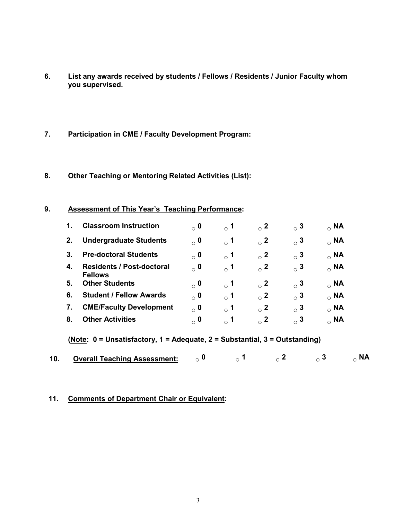- **6. List any awards received by students / Fellows / Residents / Junior Faculty whom you supervised.**
- **7. Participation in CME / Faculty Development Program:**
- **8. Other Teaching or Mentoring Related Activities (List):**

### **9. Assessment of This Year's Teaching Performance:**

| 1. | <b>Classroom Instruction</b>                       | $\alpha$ 0 | $_{\circ}$ 1 | $_{\circ}$ 2 | $\circ$ 3 | $_{\circ}$ NA |
|----|----------------------------------------------------|------------|--------------|--------------|-----------|---------------|
| 2. | <b>Undergraduate Students</b>                      | $\alpha$ 0 | $_{\circ}$ 1 | $_{\circ}$ 2 | $\circ$ 3 | $_{\circ}$ NA |
| 3. | <b>Pre-doctoral Students</b>                       | $\alpha$ 0 | $\degree$ 1  | $\circ$ 2    | $\circ$ 3 | $_{\circ}$ NA |
| 4. | <b>Residents / Post-doctoral</b><br><b>Fellows</b> | $\sim$ 0   | $\circ$ 1    | $\circ$ 2    | $\circ$ 3 | $_{\circ}$ NA |
| 5. | <b>Other Students</b>                              | $\alpha$ 0 | $\degree$ 1  | $\circ$ 2    | $\circ$ 3 | $_{\circ}$ NA |
| 6. | <b>Student / Fellow Awards</b>                     | $\alpha$ 0 | $\circ$ 1    | $\circ$ 2    | $\circ$ 3 | $_{\circ}$ NA |
| 7. | <b>CME/Faculty Development</b>                     | $\alpha$ 0 | $\circ$ 1    | $\circ$ 2    | $\circ$ 3 | $_{\circ}$ NA |
| 8. | <b>Other Activities</b>                            | $\alpha$ 0 | $_{\circ}$ 1 | $\circ$ 2    | $\circ$ 3 | $_{\circ}$ NA |

**(Note: 0 = Unsatisfactory, 1 = Adequate, 2 = Substantial, 3 = Outstanding)**

|  | <b>Overall Teaching Assessment:</b> |  |  |  |  |  |
|--|-------------------------------------|--|--|--|--|--|
|--|-------------------------------------|--|--|--|--|--|

### **11. Comments of Department Chair or Equivalent:**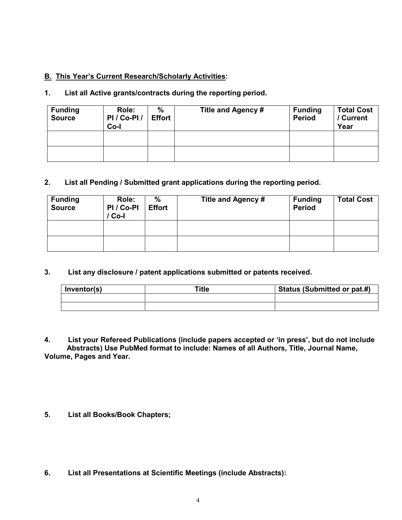## **B. This Year's Current Research/Scholarly Activities:**

## **1. List all Active grants/contracts during the reporting period.**

| <b>Funding</b><br><b>Source</b> | Role:<br>PI/Co-PI/<br>Co-l | %<br><b>Effort</b> | Title and Agency # | <b>Funding</b><br><b>Period</b> | <b>Total Cost</b><br>/ Current<br>Year |
|---------------------------------|----------------------------|--------------------|--------------------|---------------------------------|----------------------------------------|
|                                 |                            |                    |                    |                                 |                                        |
|                                 |                            |                    |                    |                                 |                                        |

## **2. List all Pending / Submitted grant applications during the reporting period.**

| <b>Funding</b><br><b>Source</b> | Role:<br>PI / Co-PI<br>Co-l | %<br><b>Effort</b> | Title and Agency # | <b>Funding</b><br><b>Period</b> | <b>Total Cost</b> |
|---------------------------------|-----------------------------|--------------------|--------------------|---------------------------------|-------------------|
|                                 |                             |                    |                    |                                 |                   |
|                                 |                             |                    |                    |                                 |                   |

## **3. List any disclosure / patent applications submitted or patents received.**

| Inventor(s) | Title | Status (Submitted or pat.#) |
|-------------|-------|-----------------------------|
|             |       |                             |
|             |       |                             |

**4. List your Refereed Publications (include papers accepted or 'in press', but do not include Abstracts) Use PubMed format to include: Names of all Authors, Title, Journal Name, Volume, Pages and Year.**

**5. List all Books/Book Chapters;**

**6. List all Presentations at Scientific Meetings (include Abstracts):**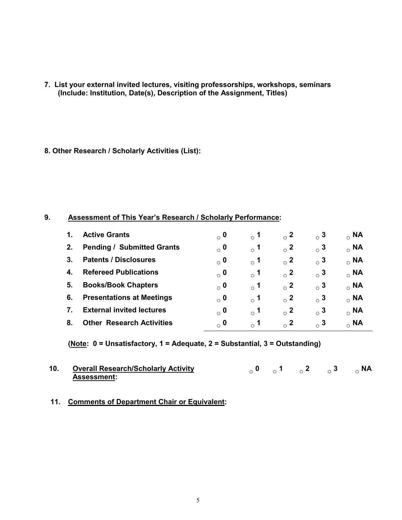- **7. List your external invited lectures, visiting professorships, workshops, seminars (Include: Institution, Date(s), Description of the Assignment, Titles)**
- **8. Other Research / Scholarly Activities (List):**

## **9. Assessment of This Year's Research / Scholarly Performance:**

|    | <b>Active Grants</b>              | $_{\circ}$ 0 | $\degree$ 1                | $\circ$ 2 | $\circ$ 3    | $_{\circ}$ NA |
|----|-----------------------------------|--------------|----------------------------|-----------|--------------|---------------|
| 2. | <b>Pending / Submitted Grants</b> | $_{\circ}$ 0 | $\overline{\phantom{0}}$ 1 | $\circ$ 2 | $_{\circ}$ 3 | $_{\circ}$ NA |
| 3. | <b>Patents / Disclosures</b>      | $_{\circ}$ 0 | $\overline{\phantom{0}}$ 1 | $\sim$ 2  | $\circ$ 3    | $_{\circ}$ NA |
| 4. | <b>Refereed Publications</b>      | $_{\circ}$ 0 | $\circ$ 1                  | $\circ$ 2 | $\circ$ 3    | $_{\circ}$ NA |
| 5. | <b>Books/Book Chapters</b>        | $\alpha$ 0   | $\circ$ 1                  | $\circ$ 2 | $_{\circ}$ 3 | $_{\circ}$ NA |
| 6. | <b>Presentations at Meetings</b>  | $\alpha$ 0   | $\circ$ 1                  | $\sim$ 2  | $\circ$ 3    | $_{\circ}$ NA |
|    | <b>External invited lectures</b>  | $_{\circ}$ 0 | $\circ$ 1                  | $\circ$ 2 | $_{\circ}$ 3 | $_{\circ}$ NA |
| 8. | <b>Other Research Activities</b>  | $_{\circ}$ 0 | $\circ$ 1                  | $\circ$ 2 | $\circ$ 3    | $_{\circ}$ NA |

**(Note: 0 = Unsatisfactory, 1 = Adequate, 2 = Substantial, 3 = Outstanding)**

| 10. Overall Research/Scholarly Activity |  | $\circ$ 0 $\circ$ 1 $\circ$ 2 $\circ$ 3 $\circ$ NA |  |
|-----------------------------------------|--|----------------------------------------------------|--|
| <b>Assessment:</b>                      |  |                                                    |  |

### **11. Comments of Department Chair or Equivalent:**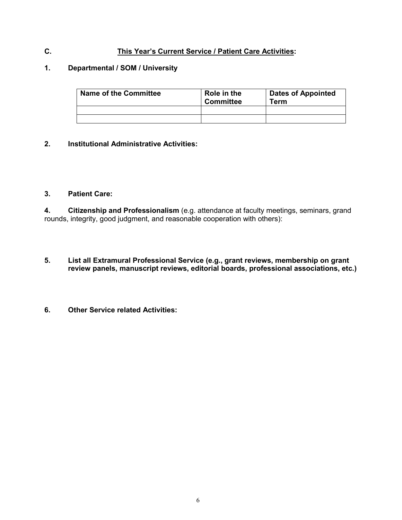## **C. This Year's Current Service / Patient Care Activities:**

### **1. Departmental / SOM / University**

| <b>Name of the Committee</b> | Role in the<br><b>Committee</b> | <b>Dates of Appointed</b><br>Геrm |  |  |
|------------------------------|---------------------------------|-----------------------------------|--|--|
|                              |                                 |                                   |  |  |
|                              |                                 |                                   |  |  |

#### **2. Institutional Administrative Activities:**

### **3. Patient Care:**

**4. Citizenship and Professionalism** (e.g. attendance at faculty meetings, seminars, grand rounds, integrity, good judgment, and reasonable cooperation with others):

- **5. List all Extramural Professional Service (e.g., grant reviews, membership on grant review panels, manuscript reviews, editorial boards, professional associations, etc.)**
- **6. Other Service related Activities:**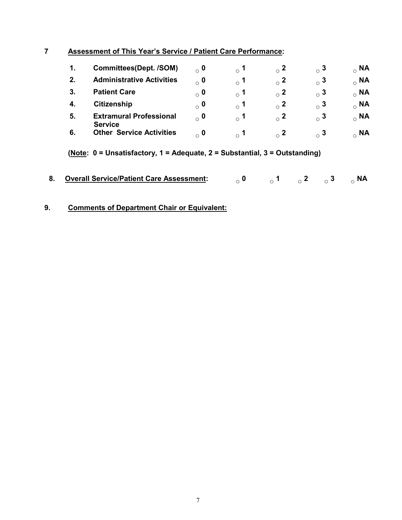## **7 Assessment of This Year's Service / Patient Care Performance:**

|    | <b>Committees(Dept. /SOM)</b>                    | $_{\circ}$ 0 | $\scriptstyle\circ$ 1 | $_{\circ}$ 2 | $_{\circ}$ 3 | $_{\circ}$ NA |
|----|--------------------------------------------------|--------------|-----------------------|--------------|--------------|---------------|
| 2. | <b>Administrative Activities</b>                 | $_{\circ}$ 0 | $\scriptstyle\circ$ 1 | $\circ$ 2    | $_{\circ}$ 3 | $_{\circ}$ NA |
|    | <b>Patient Care</b>                              | $_{\circ}$ 0 | $\scriptstyle\circ$ 1 | $_{\circ}$ 2 | $_{\circ}$ 3 | $_{\circ}$ NA |
|    | <b>Citizenship</b>                               | $_{\circ}$ 0 | $\circ$ 1             | $\circ$ 2    | $_{\circ}$ 3 | $_{\circ}$ NA |
| 5. | <b>Extramural Professional</b><br><b>Service</b> | $\alpha$ 0   | $\,{}_{\circ}\,$ 1    | $\sim$ 2     | $_{\circ}$ 3 | $_{\circ}$ NA |
| 6. | <b>Other Service Activities</b>                  | $\alpha$ 0   | $\sim$ 1              | $\sim$ 2     | $\circ$ 3    | $_{\circ}$ NA |

**(Note: 0 = Unsatisfactory, 1 = Adequate, 2 = Substantial, 3 = Outstanding)**

| 8. Overall Service/Patient Care Assessment: $\qquad \qquad \circ$ 0 $\qquad \qquad \circ$ 1 $\qquad \circ$ 2 $\qquad \circ$ 3 $\qquad \circ$ NA |  |  |  |  |  |
|-------------------------------------------------------------------------------------------------------------------------------------------------|--|--|--|--|--|
|-------------------------------------------------------------------------------------------------------------------------------------------------|--|--|--|--|--|

## **9. Comments of Department Chair or Equivalent:**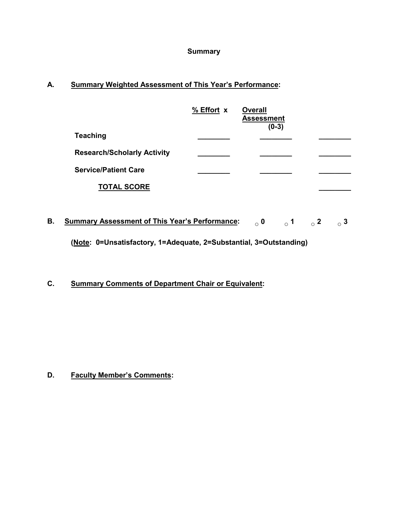### **Summary**

## **A. Summary Weighted Assessment of This Year's Performance:**

|                                    | % Effort x | <b>Overall</b><br><b>Assessment</b><br>$(0-3)$ |  |
|------------------------------------|------------|------------------------------------------------|--|
| Teaching                           |            |                                                |  |
| <b>Research/Scholarly Activity</b> |            |                                                |  |
| <b>Service/Patient Care</b>        |            |                                                |  |
| <b>TOTAL SCORE</b>                 |            |                                                |  |

**B. Summary Assessment of This Year's Performance: ○ 0 ○ 1 ○ 2 ○ 3 (Note: 0=Unsatisfactory, 1=Adequate, 2=Substantial, 3=Outstanding)**

**C. Summary Comments of Department Chair or Equivalent:**

**D. Faculty Member's Comments:**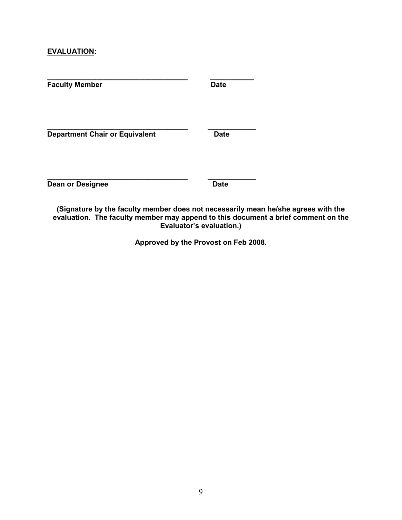### **EVALUATION:**

| <b>Faculty Member</b>                 | <b>Date</b> |
|---------------------------------------|-------------|
| <b>Department Chair or Equivalent</b> | <b>Date</b> |
| <b>Dean or Designee</b>               | <b>Date</b> |

**(Signature by the faculty member does not necessarily mean he/she agrees with the evaluation. The faculty member may append to this document a brief comment on the Evaluator's evaluation.)**

**Approved by the Provost on Feb 2008.**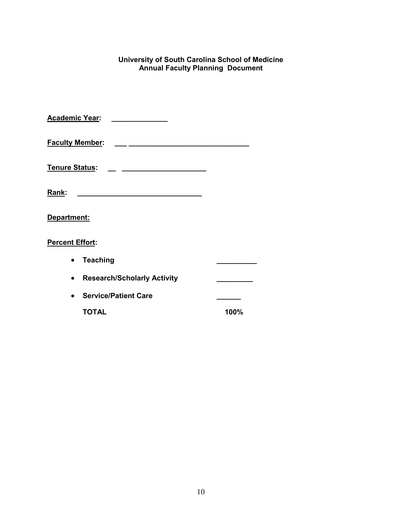### **University of South Carolina School of Medicine Annual Faculty Planning Document**

| <b>Academic Year:</b>  |                                                             |      |
|------------------------|-------------------------------------------------------------|------|
| <b>Faculty Member:</b> |                                                             |      |
| <b>Tenure Status:</b>  | the control of the control of the control of the control of |      |
| Rank:                  |                                                             |      |
| Department:            |                                                             |      |
| <b>Percent Effort:</b> |                                                             |      |
|                        | <b>Teaching</b>                                             |      |
|                        | <b>Research/Scholarly Activity</b>                          |      |
|                        | <b>Service/Patient Care</b>                                 |      |
|                        | <b>TOTAL</b>                                                | 100% |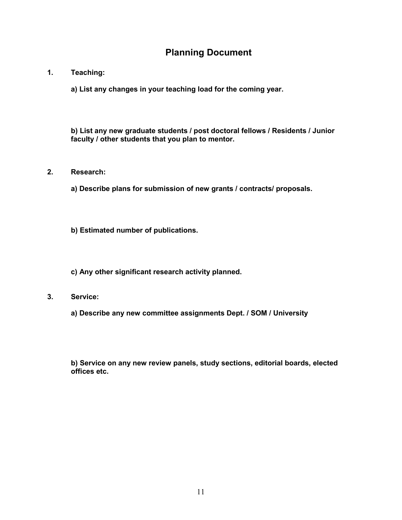# **Planning Document**

### **1. Teaching:**

**a) List any changes in your teaching load for the coming year.**

**b) List any new graduate students / post doctoral fellows / Residents / Junior faculty / other students that you plan to mentor.**

### **2. Research:**

**a) Describe plans for submission of new grants / contracts/ proposals.**

**b) Estimated number of publications.**

**c) Any other significant research activity planned.**

- **3. Service:**
	- **a) Describe any new committee assignments Dept. / SOM / University**

**b) Service on any new review panels, study sections, editorial boards, elected offices etc.**